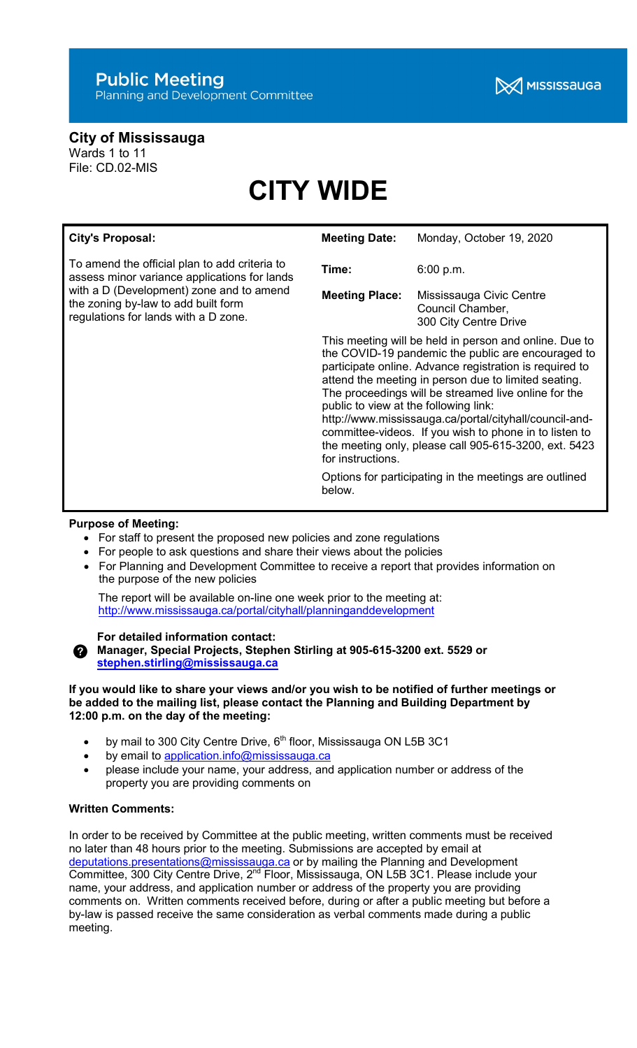# City of Mississauga

Wards 1 to 11 File: CD.02-MIS

# CITY WIDE

| <b>City's Proposal:</b>                                                                                                                                                                                                  | <b>Meeting Date:</b>                                                                                                                                                                                                                                                                                                                                                                                                                                                                                                                                                                                   | Monday, October 19, 2020                  |
|--------------------------------------------------------------------------------------------------------------------------------------------------------------------------------------------------------------------------|--------------------------------------------------------------------------------------------------------------------------------------------------------------------------------------------------------------------------------------------------------------------------------------------------------------------------------------------------------------------------------------------------------------------------------------------------------------------------------------------------------------------------------------------------------------------------------------------------------|-------------------------------------------|
| To amend the official plan to add criteria to<br>assess minor variance applications for lands<br>with a D (Development) zone and to amend<br>the zoning by-law to add built form<br>regulations for lands with a D zone. | Time:<br><b>Meeting Place:</b>                                                                                                                                                                                                                                                                                                                                                                                                                                                                                                                                                                         | 6:00 p.m.<br>Mississauga Civic Centre     |
|                                                                                                                                                                                                                          |                                                                                                                                                                                                                                                                                                                                                                                                                                                                                                                                                                                                        | Council Chamber,<br>300 City Centre Drive |
|                                                                                                                                                                                                                          | This meeting will be held in person and online. Due to<br>the COVID-19 pandemic the public are encouraged to<br>participate online. Advance registration is required to<br>attend the meeting in person due to limited seating.<br>The proceedings will be streamed live online for the<br>public to view at the following link:<br>http://www.mississauga.ca/portal/cityhall/council-and-<br>committee-videos. If you wish to phone in to listen to<br>the meeting only, please call 905-615-3200, ext. 5423<br>for instructions.<br>Options for participating in the meetings are outlined<br>below. |                                           |

# Purpose of Meeting:

- For staff to present the proposed new policies and zone regulations
- For people to ask questions and share their views about the policies
- For Planning and Development Committee to receive a report that provides information on the purpose of the new policies

 The report will be available on-line one week prior to the meeting at: http://www.mississauga.ca/portal/cityhall/planninganddevelopment

## For detailed information contact:

Manager, Special Projects, Stephen Stirling at 905-615-3200 ext. 5529 or stephen.stirling@mississauga.ca

#### If you would like to share your views and/or you wish to be notified of further meetings or be added to the mailing list, please contact the Planning and Building Department by 12:00 p.m. on the day of the meeting:

- by mail to 300 City Centre Drive, 6<sup>th</sup> floor, Mississauga ON L5B 3C1
- by email to application.info@mississauga.ca
- please include your name, your address, and application number or address of the property you are providing comments on

### Written Comments:

In order to be received by Committee at the public meeting, written comments must be received no later than 48 hours prior to the meeting. Submissions are accepted by email at deputations.presentations@mississauga.ca or by mailing the Planning and Development Committee, 300 City Centre Drive, 2<sup>nd</sup> Floor, Mississauga, ON L5B 3C1. Please include your name, your address, and application number or address of the property you are providing comments on. Written comments received before, during or after a public meeting but before a by-law is passed receive the same consideration as verbal comments made during a public meeting.